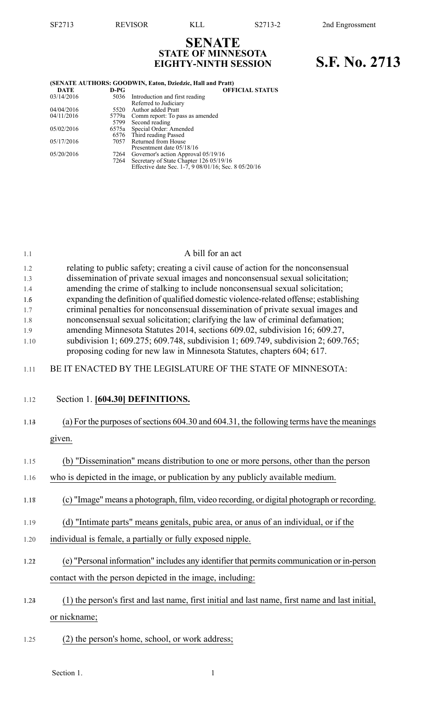# **SENATE STATE OF MINNESOTA**

## **S.F. No.** 2713

| (SENATE AUTHORS: GOODWIN, Eaton, Dziedzic, Hall and Pratt) |        |                                                      |  |
|------------------------------------------------------------|--------|------------------------------------------------------|--|
| <b>DATE</b>                                                | $D-PG$ | <b>OFFICIAL STATUS</b>                               |  |
| 03/14/2016                                                 | 5036   | Introduction and first reading                       |  |
|                                                            |        | Referred to Judiciary                                |  |
| 04/04/2016                                                 | 5520   | Author added Pratt                                   |  |
| 04/11/2016                                                 | 5779a  | Comm report: To pass as amended                      |  |
|                                                            | 5799   | Second reading                                       |  |
| 05/02/2016                                                 |        | 6575a Special Order: Amended                         |  |
|                                                            |        | 6576 Third reading Passed                            |  |
| 05/17/2016                                                 | 7057   | Returned from House                                  |  |
|                                                            |        | Presentment date 05/18/16                            |  |
| 05/20/2016                                                 | 7264   | Governor's action Approval 05/19/16                  |  |
|                                                            | 7264   | Secretary of State Chapter 126 05/19/16              |  |
|                                                            |        | Effective date Sec. 1-7, 9 08/01/16; Sec. 8 05/20/16 |  |

#### 1.1 A bill for an act

| 1.2  | relating to public safety; creating a civil cause of action for the nonconsensual            |
|------|----------------------------------------------------------------------------------------------|
| 1.3  | dissemination of private sexual images and nonconsensual sexual solicitation;                |
| 1.4  | amending the crime of stalking to include nonconsensual sexual solicitation;                 |
| 1.6  | expanding the definition of qualified domestic violence-related offense; establishing        |
| 1.7  | criminal penalties for nonconsensual dissemination of private sexual images and              |
| 1.8  | nonconsensual sexual solicitation; clarifying the law of criminal defamation;                |
| 1.9  | amending Minnesota Statutes 2014, sections 609.02, subdivision 16; 609.27,                   |
| 1.10 | subdivision 1; $609.275$ ; $609.748$ , subdivision 1; $609.749$ , subdivision 2; $609.765$ ; |
|      | proposing coding for new law in Minnesota Statutes, chapters 604; 617.                       |

- 1.11 BE IT ENACTED BY THE LEGISLATURE OF THE STATE OF MINNESOTA:
- 1.12 Section 1. **[604.30] DEFINITIONS.**
- 1.13 (a) For the purposes of sections 604.30 and 604.31, the following terms have the meanings given.
- 1.15 (b) "Dissemination" means distribution to one or more persons, other than the person
- 1.16 who is depicted in the image, or publication by any publicly available medium.
- 1.178 (c) "Image" means a photograph, film, video recording, or digital photograph or recording.
- 1.19 (d) "Intimate parts" means genitals, pubic area, or anus of an individual, or if the
- 1.20 individual is female, a partially or fully exposed nipple.
- 1.212 (e) "Personal information" includes any identifier that permits communication or in-person contact with the person depicted in the image, including:
- 1.234 (1) the person's first and last name, first initial and last name, first name and last initial, or nickname;
- 1.25 (2) the person's home, school, or work address;

Section 1.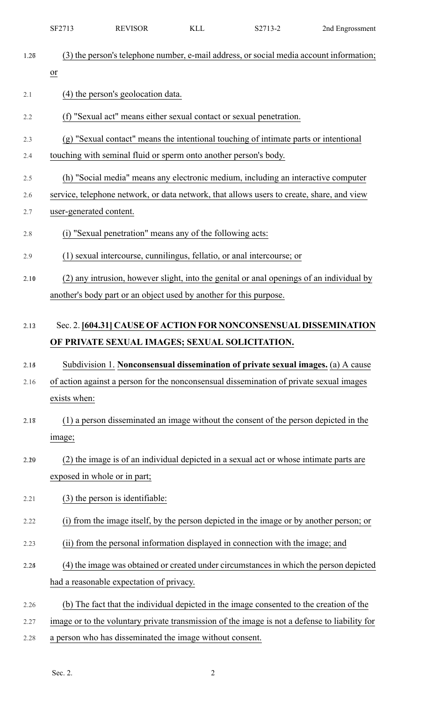|            | SF2713                       | <b>REVISOR</b>                                                     | <b>KLL</b> | S2713-2                                                                                                            | 2nd Engrossment |
|------------|------------------------------|--------------------------------------------------------------------|------------|--------------------------------------------------------------------------------------------------------------------|-----------------|
| 1.26       | $\overline{or}$              |                                                                    |            | (3) the person's telephone number, e-mail address, or social media account information;                            |                 |
| 2.1        |                              | (4) the person's geolocation data.                                 |            |                                                                                                                    |                 |
| 2.2        |                              |                                                                    |            | (f) "Sexual act" means either sexual contact or sexual penetration.                                                |                 |
| 2.3        |                              |                                                                    |            | (g) "Sexual contact" means the intentional touching of intimate parts or intentional                               |                 |
| 2.4        |                              | touching with seminal fluid or sperm onto another person's body.   |            |                                                                                                                    |                 |
| 2.5        |                              |                                                                    |            | (h) "Social media" means any electronic medium, including an interactive computer                                  |                 |
| 2.6<br>2.7 | user-generated content.      |                                                                    |            | service, telephone network, or data network, that allows users to create, share, and view                          |                 |
| 2.8        |                              | (i) "Sexual penetration" means any of the following acts:          |            |                                                                                                                    |                 |
|            |                              |                                                                    |            |                                                                                                                    |                 |
| 2.9        |                              |                                                                    |            | (1) sexual intercourse, cunnilingus, fellatio, or anal intercourse; or                                             |                 |
| 2.10       |                              |                                                                    |            | (2) any intrusion, however slight, into the genital or anal openings of an individual by                           |                 |
|            |                              | another's body part or an object used by another for this purpose. |            |                                                                                                                    |                 |
| 2.13       |                              |                                                                    |            | Sec. 2. [604.31] CAUSE OF ACTION FOR NONCONSENSUAL DISSEMINATION<br>OF PRIVATE SEXUAL IMAGES; SEXUAL SOLICITATION. |                 |
| 2.14       |                              |                                                                    |            | Subdivision 1. Nonconsensual dissemination of private sexual images. (a) A cause                                   |                 |
| 2.16       |                              |                                                                    |            | of action against a person for the nonconsensual dissemination of private sexual images                            |                 |
|            | exists when:                 |                                                                    |            |                                                                                                                    |                 |
| 2.18       |                              |                                                                    |            | (1) a person disseminated an image without the consent of the person depicted in the                               |                 |
|            | image;                       |                                                                    |            |                                                                                                                    |                 |
| 2.29       |                              |                                                                    |            | (2) the image is of an individual depicted in a sexual act or whose intimate parts are                             |                 |
|            | exposed in whole or in part; |                                                                    |            |                                                                                                                    |                 |
| 2.21       |                              | $(3)$ the person is identifiable:                                  |            |                                                                                                                    |                 |
| 2.22       |                              |                                                                    |            | (i) from the image itself, by the person depicted in the image or by another person; or                            |                 |
| 2.23       |                              |                                                                    |            | (ii) from the personal information displayed in connection with the image; and                                     |                 |
| 2.24       |                              |                                                                    |            | (4) the image was obtained or created under circumstances in which the person depicted                             |                 |
|            |                              | had a reasonable expectation of privacy.                           |            |                                                                                                                    |                 |
| 2.26       |                              |                                                                    |            | (b) The fact that the individual depicted in the image consented to the creation of the                            |                 |
| 2.27       |                              |                                                                    |            | image or to the voluntary private transmission of the image is not a defense to liability for                      |                 |
| 2.28       |                              | a person who has disseminated the image without consent.           |            |                                                                                                                    |                 |
|            |                              |                                                                    |            |                                                                                                                    |                 |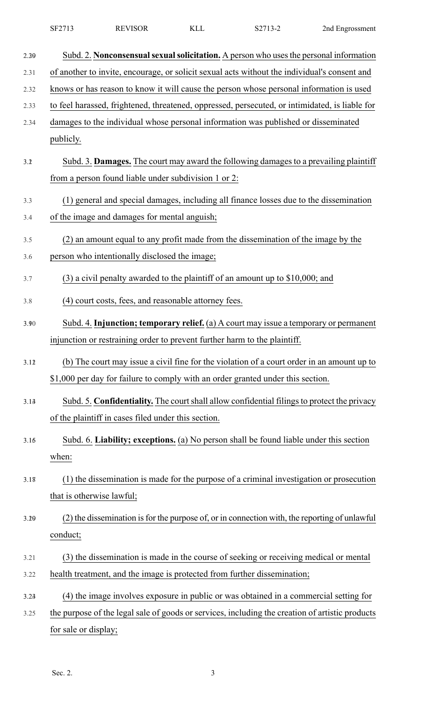|      | SF2713               | <b>REVISOR</b>                                                            | <b>KLL</b> | S2713-2                                                                                         | 2nd Engrossment |
|------|----------------------|---------------------------------------------------------------------------|------------|-------------------------------------------------------------------------------------------------|-----------------|
| 2.39 |                      |                                                                           |            | Subd. 2. Nonconsensual sexual solicitation. A person who uses the personal information          |                 |
| 2.31 |                      |                                                                           |            | of another to invite, encourage, or solicit sexual acts without the individual's consent and    |                 |
| 2.32 |                      |                                                                           |            | knows or has reason to know it will cause the person whose personal information is used         |                 |
| 2.33 |                      |                                                                           |            | to feel harassed, frightened, threatened, oppressed, persecuted, or intimidated, is liable for  |                 |
| 2.34 |                      |                                                                           |            | damages to the individual whose personal information was published or disseminated              |                 |
|      | publicly.            |                                                                           |            |                                                                                                 |                 |
| 3.2  |                      |                                                                           |            | Subd. 3. Damages. The court may award the following damages to a prevailing plaintiff           |                 |
|      |                      | from a person found liable under subdivision 1 or 2:                      |            |                                                                                                 |                 |
| 3.3  |                      |                                                                           |            | (1) general and special damages, including all finance losses due to the dissemination          |                 |
| 3.4  |                      | of the image and damages for mental anguish;                              |            |                                                                                                 |                 |
| 3.5  |                      |                                                                           |            | (2) an amount equal to any profit made from the dissemination of the image by the               |                 |
| 3.6  |                      | person who intentionally disclosed the image;                             |            |                                                                                                 |                 |
| 3.7  |                      |                                                                           |            | $(3)$ a civil penalty awarded to the plaintiff of an amount up to \$10,000; and                 |                 |
| 3.8  |                      | (4) court costs, fees, and reasonable attorney fees.                      |            |                                                                                                 |                 |
| 3.90 |                      |                                                                           |            | Subd. 4. Injunction; temporary relief. (a) A court may issue a temporary or permanent           |                 |
|      |                      | injunction or restraining order to prevent further harm to the plaintiff. |            |                                                                                                 |                 |
| 3.12 |                      |                                                                           |            | (b) The court may issue a civil fine for the violation of a court order in an amount up to      |                 |
|      |                      |                                                                           |            | \$1,000 per day for failure to comply with an order granted under this section.                 |                 |
| 3.14 |                      |                                                                           |            | Subd. 5. Confidentiality. The court shall allow confidential filings to protect the privacy     |                 |
|      |                      | of the plaintiff in cases filed under this section.                       |            |                                                                                                 |                 |
| 3.16 |                      |                                                                           |            | Subd. 6. Liability; exceptions. (a) No person shall be found liable under this section          |                 |
|      | when:                |                                                                           |            |                                                                                                 |                 |
| 3.18 |                      |                                                                           |            | (1) the dissemination is made for the purpose of a criminal investigation or prosecution        |                 |
|      |                      | that is otherwise lawful;                                                 |            |                                                                                                 |                 |
| 3.29 |                      |                                                                           |            | (2) the dissemination is for the purpose of, or in connection with, the reporting of unlawful   |                 |
|      | conduct;             |                                                                           |            |                                                                                                 |                 |
| 3.21 |                      |                                                                           |            | (3) the dissemination is made in the course of seeking or receiving medical or mental           |                 |
| 3.22 |                      |                                                                           |            | health treatment, and the image is protected from further dissemination;                        |                 |
| 3.24 |                      |                                                                           |            | (4) the image involves exposure in public or was obtained in a commercial setting for           |                 |
| 3.25 |                      |                                                                           |            | the purpose of the legal sale of goods or services, including the creation of artistic products |                 |
|      | for sale or display; |                                                                           |            |                                                                                                 |                 |
|      |                      |                                                                           |            |                                                                                                 |                 |

Sec. 2. 3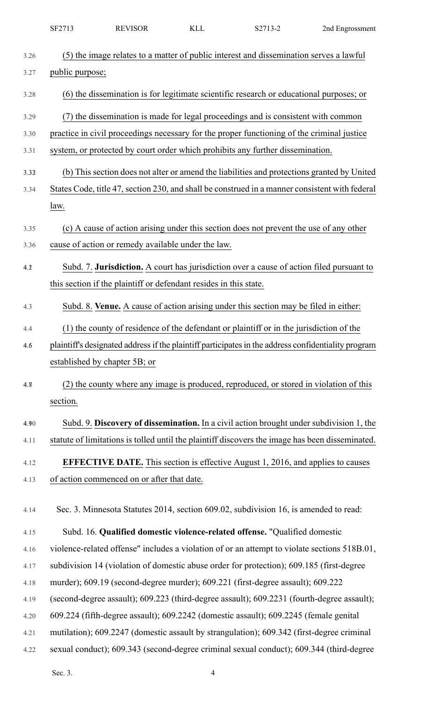|      | SF2713                        | <b>REVISOR</b>                                                    | <b>KLL</b> | S2713-2                                                                                             | 2nd Engrossment |
|------|-------------------------------|-------------------------------------------------------------------|------------|-----------------------------------------------------------------------------------------------------|-----------------|
| 3.26 |                               |                                                                   |            | (5) the image relates to a matter of public interest and dissemination serves a lawful              |                 |
| 3.27 | public purpose;               |                                                                   |            |                                                                                                     |                 |
| 3.28 |                               |                                                                   |            | (6) the dissemination is for legitimate scientific research or educational purposes; or             |                 |
| 3.29 |                               |                                                                   |            | (7) the dissemination is made for legal proceedings and is consistent with common                   |                 |
| 3.30 |                               |                                                                   |            | practice in civil proceedings necessary for the proper functioning of the criminal justice          |                 |
| 3.31 |                               |                                                                   |            | system, or protected by court order which prohibits any further dissemination.                      |                 |
| 3.33 |                               |                                                                   |            | (b) This section does not alter or amend the liabilities and protections granted by United          |                 |
| 3.34 |                               |                                                                   |            | States Code, title 47, section 230, and shall be construed in a manner consistent with federal      |                 |
|      | law.                          |                                                                   |            |                                                                                                     |                 |
| 3.35 |                               |                                                                   |            | (c) A cause of action arising under this section does not prevent the use of any other              |                 |
| 3.36 |                               | cause of action or remedy available under the law.                |            |                                                                                                     |                 |
| 4.2  |                               |                                                                   |            | Subd. 7. Jurisdiction. A court has jurisdiction over a cause of action filed pursuant to            |                 |
|      |                               | this section if the plaintiff or defendant resides in this state. |            |                                                                                                     |                 |
| 4.3  |                               |                                                                   |            | Subd. 8. Venue. A cause of action arising under this section may be filed in either:                |                 |
| 4.4  |                               |                                                                   |            | (1) the county of residence of the defendant or plaintiff or in the jurisdiction of the             |                 |
| 4.6  |                               |                                                                   |            | plaintiff's designated address if the plaintiff participates in the address confidentiality program |                 |
|      | established by chapter 5B; or |                                                                   |            |                                                                                                     |                 |
| 4.8  |                               |                                                                   |            | (2) the county where any image is produced, reproduced, or stored in violation of this              |                 |
|      | section.                      |                                                                   |            |                                                                                                     |                 |
| 4.90 |                               |                                                                   |            | Subd. 9. Discovery of dissemination. In a civil action brought under subdivision 1, the             |                 |
| 4.11 |                               |                                                                   |            | statute of limitations is tolled until the plaintiff discovers the image has been disseminated.     |                 |
| 4.12 |                               |                                                                   |            | <b>EFFECTIVE DATE.</b> This section is effective August 1, 2016, and applies to causes              |                 |
| 4.13 |                               | of action commenced on or after that date.                        |            |                                                                                                     |                 |
| 4.14 |                               |                                                                   |            | Sec. 3. Minnesota Statutes 2014, section 609.02, subdivision 16, is amended to read:                |                 |
| 4.15 |                               |                                                                   |            | Subd. 16. Qualified domestic violence-related offense. "Qualified domestic                          |                 |
| 4.16 |                               |                                                                   |            | violence-related offense" includes a violation of or an attempt to violate sections 518B.01,        |                 |
| 4.17 |                               |                                                                   |            | subdivision 14 (violation of domestic abuse order for protection); 609.185 (first-degree            |                 |
| 4.18 |                               |                                                                   |            | murder); 609.19 (second-degree murder); 609.221 (first-degree assault); 609.222                     |                 |
| 4.19 |                               |                                                                   |            | (second-degree assault); 609.223 (third-degree assault); 609.2231 (fourth-degree assault);          |                 |
| 4.20 |                               |                                                                   |            | 609.224 (fifth-degree assault); 609.2242 (domestic assault); 609.2245 (female genital               |                 |
| 4.21 |                               |                                                                   |            | mutilation); 609.2247 (domestic assault by strangulation); 609.342 (first-degree criminal           |                 |
| 4.22 |                               |                                                                   |            | sexual conduct); 609.343 (second-degree criminal sexual conduct); 609.344 (third-degree             |                 |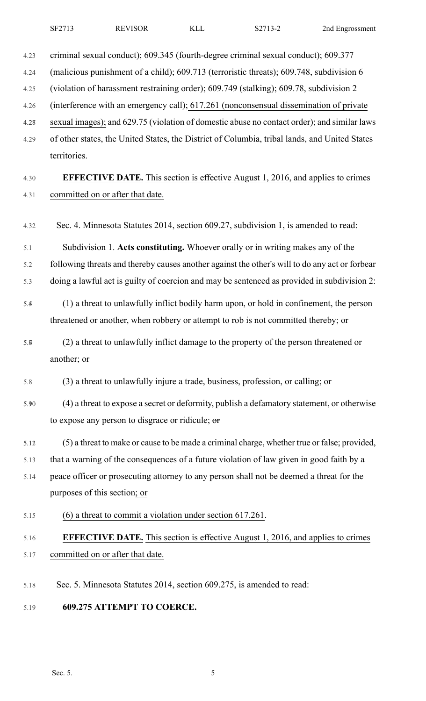4.23 criminal sexual conduct); 609.345 (fourth-degree criminal sexual conduct); 609.377 4.24 (malicious punishment of a child); 609.713 (terroristic threats); 609.748, subdivision 6 4.25 (violation of harassment restraining order); 609.749 (stalking); 609.78, subdivision 2 4.26 (interference with an emergency call); 617.261 (nonconsensual dissemination of private 4.278 sexual images); and 629.75 (violation of domestic abuse no contact order); and similar laws 4.29 of other states, the United States, the District of Columbia, tribal lands, and United States territories. 4.30 **EFFECTIVE DATE.** This section is effective August 1, 2016, and applies to crimes 4.31 committed on or after that date. 4.32 Sec. 4. Minnesota Statutes 2014, section 609.27, subdivision 1, is amended to read: 5.1 Subdivision 1. **Acts constituting.** Whoever orally or in writing makes any of the 5.2 following threats and thereby causes another against the other's will to do any act or forbear 5.3 doing a lawful act is guilty of coercion and may be sentenced as provided in subdivision 2:

- 5.45 (1) a threat to unlawfully inflict bodily harm upon, or hold in confinement, the person threatened or another, when robbery or attempt to rob is not committed thereby; or
- 5.67 (2) a threat to unlawfully inflict damage to the property of the person threatened or another; or
- 5.8 (3) a threat to unlawfully injure a trade, business, profession, or calling; or
- 5.910 (4) a threat to expose a secret or deformity, publish a defamatory statement, or otherwise to expose any person to disgrace or ridicule; or
- 5.112 (5) a threat to make or cause to be made a criminal charge, whether true or false; provided,
- 5.13 that a warning of the consequences of a future violation of law given in good faith by a
- 5.14 peace officer or prosecuting attorney to any person shall not be deemed a threat for the purposes of this section; or
- 5.15 (6) a threat to commit a violation under section 617.261.

### 5.16 **EFFECTIVE DATE.** This section is effective August 1, 2016, and applies to crimes 5.17 committed on or after that date.

- 5.18 Sec. 5. Minnesota Statutes 2014, section 609.275, is amended to read:
- 5.19 **609.275 ATTEMPT TO COERCE.**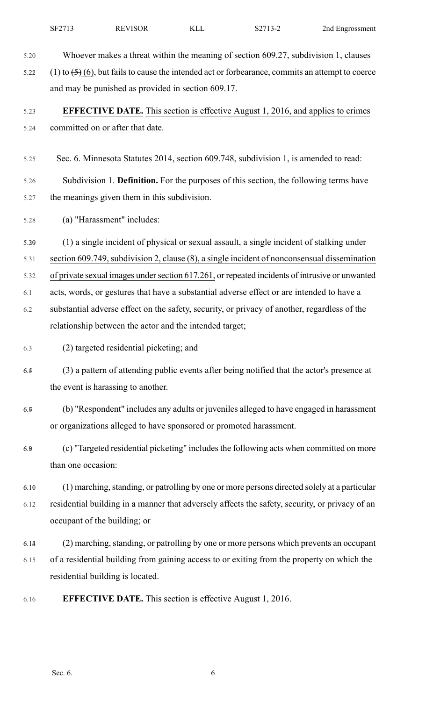5.20 Whoever makes a threat within the meaning of section 609.27, subdivision 1, clauses

5.22 (1) to  $\left(5\right)$  (6), but fails to cause the intended act or forbearance, commits an attempt to coerce and may be punished as provided in section 609.17.

#### 5.23 **EFFECTIVE DATE.** This section is effective August 1, 2016, and applies to crimes 5.24 committed on or after that date.

5.25 Sec. 6. Minnesota Statutes 2014, section 609.748, subdivision 1, is amended to read:

5.26 Subdivision 1. **Definition.** For the purposes of this section, the following terms have 5.27 the meanings given them in this subdivision.

5.28 (a) "Harassment" includes:

5.2930 (1) a single incident of physical or sexual assault, a single incident of stalking under

5.31 section 609.749,subdivision 2, clause (8), a single incident of nonconsensual dissemination

5.32 of private sexual images undersection 617.261, or repeated incidents of intrusive or unwanted

6.1 acts, words, or gestures that have a substantial adverse effect or are intended to have a

6.2 substantial adverse effect on the safety, security, or privacy of another, regardless of the relationship between the actor and the intended target;

- 6.3 (2) targeted residential picketing; and
- 6.45 (3) a pattern of attending public events after being notified that the actor's presence at the event is harassing to another.
- 6.67 (b) "Respondent" includes any adults or juveniles alleged to have engaged in harassment or organizations alleged to have sponsored or promoted harassment.
- 6.89 (c) "Targeted residential picketing" includesthe following acts when committed on more than one occasion:

6.10 (1) marching, standing, or patrolling by one or more persons directed solely at a particular 6.12 residential building in a manner that adversely affects the safety, security, or privacy of an occupant of the building; or

- 6.134 (2) marching,standing, or patrolling by one or more persons which prevents an occupant 6.15 of a residential building from gaining access to or exiting from the property on which the residential building is located.
- 6.16 **EFFECTIVE DATE.** This section is effective August 1, 2016.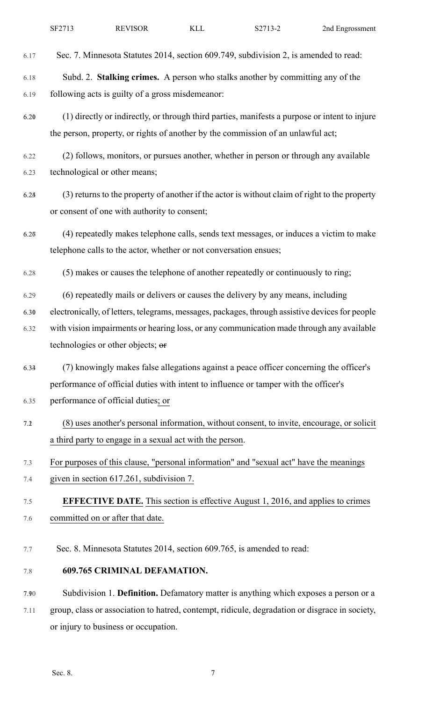| SF271?<br>REVISOR<br>ry T<br>"<br>2nd<br>Engrossment<br>∠ب<br>∟⊔ ب<br>$\sim$ $ -$ |
|-----------------------------------------------------------------------------------|
|-----------------------------------------------------------------------------------|

6.17 Sec. 7. Minnesota Statutes 2014, section 609.749, subdivision 2, is amended to read:

6.18 Subd. 2. **Stalking crimes.** A person who stalks another by committing any of the 6.19 following acts is guilty of a gross misdemeanor:

6.201 (1) directly or indirectly, or through third parties, manifests a purpose or intent to injure the person, property, or rights of another by the commission of an unlawful act;

6.22 (2) follows, monitors, or pursues another, whether in person or through any available 6.23 technological or other means;

- 6.245 (3) returns to the property of another if the actor is without claim of right to the property or consent of one with authority to consent;
- 6.267 (4) repeatedly makes telephone calls, sends text messages, or induces a victim to make telephone calls to the actor, whether or not conversation ensues;

6.28 (5) makes or causes the telephone of another repeatedly or continuously to ring;

- 6.29 (6) repeatedly mails or delivers or causes the delivery by any means, including
- 6.301 electronically, of letters, telegrams, messages, packages, through assistive devicesfor people 6.32 with vision impairments or hearing loss, or any communication made through any available technologies or other objects; or
- 6.334 (7) knowingly makes false allegations against a peace officer concerning the officer's performance of official duties with intent to influence or tamper with the officer's 6.35 performance of official duties; or
- 7.12 (8) uses another's personal information, without consent, to invite, encourage, or solicit a third party to engage in a sexual act with the person.
- 7.3 For purposes of this clause, "personal information" and "sexual act" have the meanings
- 7.4 given in section 617.261, subdivision 7.

## 7.5 **EFFECTIVE DATE.** This section is effective August 1, 2016, and applies to crimes 7.6 committed on or after that date.

- 7.7 Sec. 8. Minnesota Statutes 2014, section 609.765, is amended to read:
- 7.8 **609.765 CRIMINAL DEFAMATION.**

7.910 Subdivision 1. **Definition.** Defamatory matter is anything which exposes a person or a

7.11 group, class or association to hatred, contempt, ridicule, degradation or disgrace in society, or injury to business or occupation.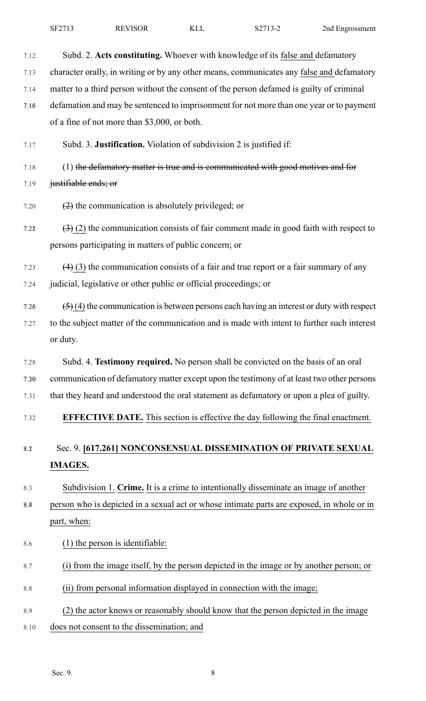| SF2713 | <b>REVISOR</b> | KLL | S2713-2 | 2nd Engrossment |
|--------|----------------|-----|---------|-----------------|
|--------|----------------|-----|---------|-----------------|

| 7.12 | Subd. 2. Acts constituting. Whoever with knowledge of its false and defamatory                               |
|------|--------------------------------------------------------------------------------------------------------------|
| 7.13 | character orally, in writing or by any other means, communicates any false and defamatory                    |
| 7.14 | matter to a third person without the consent of the person defamed is guilty of criminal                     |
| 7.16 | defamation and may be sentenced to imprisonment for not more than one year or to payment                     |
|      | of a fine of not more than \$3,000, or both.                                                                 |
| 7.17 | Subd. 3. Justification. Violation of subdivision 2 is justified if:                                          |
| 7.18 | (1) the defamatory matter is true and is communicated with good motives and for                              |
| 7.19 | justifiable ends; or                                                                                         |
| 7.20 | $(2)$ the communication is absolutely privileged; or                                                         |
| 7.22 | $\left(\frac{3}{2}\right)$ (2) the communication consists of fair comment made in good faith with respect to |
|      | persons participating in matters of public concern; or                                                       |
| 7.23 | $(4)$ (3) the communication consists of a fair and true report or a fair summary of any                      |
| 7.24 | judicial, legislative or other public or official proceedings; or                                            |
| 7.26 | $(5)$ (4) the communication is between persons each having an interest or duty with respect                  |
| 7.27 | to the subject matter of the communication and is made with intent to further such interest                  |
|      | or duty.                                                                                                     |
| 7.28 | Subd. 4. Testimony required. No person shall be convicted on the basis of an oral                            |
| 7.39 | communication of defamatory matter except upon the testimony of at least two other persons                   |
| 7.31 | that they heard and understood the oral statement as defamatory or upon a plea of guilty.                    |
| 7.32 | <b>EFFECTIVE DATE.</b> This section is effective the day following the final enactment.                      |
| 8.2  | Sec. 9. [617.261] NONCONSENSUAL DISSEMINATION OF PRIVATE SEXUAL                                              |
|      | <b>IMAGES.</b>                                                                                               |
| 8.3  | Subdivision 1. Crime. It is a crime to intentionally disseminate an image of another                         |
| 8.4  | person who is depicted in a sexual act or whose intimate parts are exposed, in whole or in                   |
|      | part, when:                                                                                                  |
| 8.6  | $(1)$ the person is identifiable:                                                                            |
| 8.7  | (i) from the image itself, by the person depicted in the image or by another person; or                      |
| 8.8  | (ii) from personal information displayed in connection with the image;                                       |
| 8.9  | (2) the actor knows or reasonably should know that the person depicted in the image                          |
| 8.10 | does not consent to the dissemination; and                                                                   |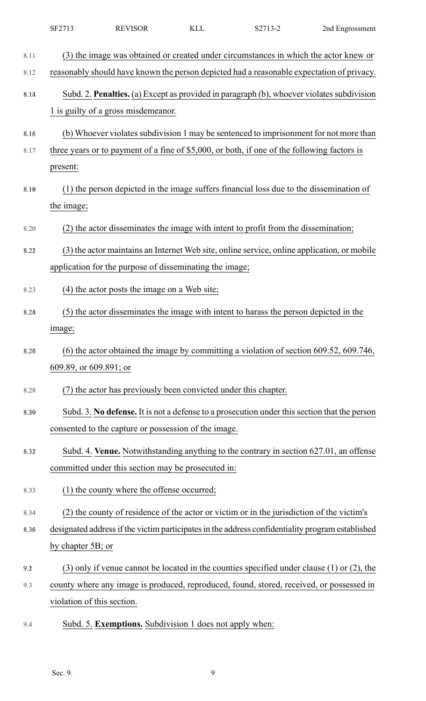|      | SF2713                     | <b>REVISOR</b>                                                  | <b>KLL</b> | S2713-2                                                                                           | 2nd Engrossment |
|------|----------------------------|-----------------------------------------------------------------|------------|---------------------------------------------------------------------------------------------------|-----------------|
| 8.11 |                            |                                                                 |            | (3) the image was obtained or created under circumstances in which the actor knew or              |                 |
| 8.12 |                            |                                                                 |            | reasonably should have known the person depicted had a reasonable expectation of privacy.         |                 |
| 8.13 |                            | 1 is guilty of a gross misdemeanor.                             |            | Subd. 2. Penalties. (a) Except as provided in paragraph (b), whoever violates subdivision         |                 |
| 8.16 |                            |                                                                 |            | (b) Whoever violates subdivision 1 may be sentenced to imprisonment for not more than             |                 |
| 8.17 |                            |                                                                 |            | three years or to payment of a fine of \$5,000, or both, if one of the following factors is       |                 |
|      | present:                   |                                                                 |            |                                                                                                   |                 |
| 8.19 | the image;                 |                                                                 |            | (1) the person depicted in the image suffers financial loss due to the dissemination of           |                 |
| 8.20 |                            |                                                                 |            | (2) the actor disseminates the image with intent to profit from the dissemination;                |                 |
| 8.22 |                            |                                                                 |            | (3) the actor maintains an Internet Web site, online service, online application, or mobile       |                 |
|      |                            | application for the purpose of disseminating the image;         |            |                                                                                                   |                 |
| 8.23 |                            | (4) the actor posts the image on a Web site;                    |            |                                                                                                   |                 |
| 8.24 |                            |                                                                 |            | (5) the actor disseminates the image with intent to harass the person depicted in the             |                 |
|      | image;                     |                                                                 |            |                                                                                                   |                 |
| 8.27 |                            |                                                                 |            | $(6)$ the actor obtained the image by committing a violation of section 609.52, 609.746,          |                 |
|      | 609.89, or 609.891; or     |                                                                 |            |                                                                                                   |                 |
| 8.28 |                            | (7) the actor has previously been convicted under this chapter. |            |                                                                                                   |                 |
| 8.39 |                            |                                                                 |            | Subd. 3. No defense. It is not a defense to a prosecution under this section that the person      |                 |
|      |                            | consented to the capture or possession of the image.            |            |                                                                                                   |                 |
| 8.32 |                            |                                                                 |            | Subd. 4. Venue. Notwithstanding anything to the contrary in section 627.01, an offense            |                 |
|      |                            | committed under this section may be prosecuted in:              |            |                                                                                                   |                 |
| 8.33 |                            | (1) the county where the offense occurred;                      |            |                                                                                                   |                 |
| 8.34 |                            |                                                                 |            | (2) the county of residence of the actor or victim or in the jurisdiction of the victim's         |                 |
| 8.36 |                            |                                                                 |            | designated address if the victim participates in the address confidentiality program established  |                 |
|      | by chapter 5B; or          |                                                                 |            |                                                                                                   |                 |
| 9.2  |                            |                                                                 |            | $(3)$ only if venue cannot be located in the counties specified under clause $(1)$ or $(2)$ , the |                 |
| 9.3  |                            |                                                                 |            | county where any image is produced, reproduced, found, stored, received, or possessed in          |                 |
|      | violation of this section. |                                                                 |            |                                                                                                   |                 |

9.4 Subd. 5. **Exemptions.** Subdivision 1 does not apply when: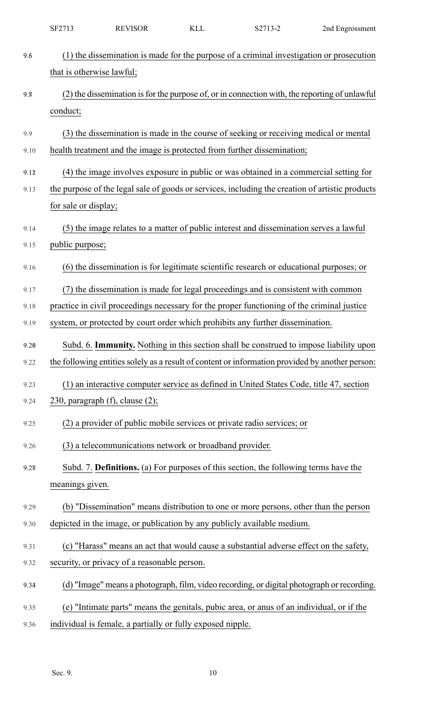| SF2713 | <b>REVISOR</b> | $ -$ | 727122<br>$\mathbf{v}$<br>∠ت | 2nd Engrossment |
|--------|----------------|------|------------------------------|-----------------|
|--------|----------------|------|------------------------------|-----------------|

| 9.6  | (1) the dissemination is made for the purpose of a criminal investigation or prosecution        |
|------|-------------------------------------------------------------------------------------------------|
|      | that is otherwise lawful;                                                                       |
| 9.8  | (2) the dissemination is for the purpose of, or in connection with, the reporting of unlawful   |
|      | conduct;                                                                                        |
| 9.9  | (3) the dissemination is made in the course of seeking or receiving medical or mental           |
| 9.10 | health treatment and the image is protected from further dissemination;                         |
| 9.12 | (4) the image involves exposure in public or was obtained in a commercial setting for           |
| 9.13 | the purpose of the legal sale of goods or services, including the creation of artistic products |
|      | for sale or display;                                                                            |
| 9.14 | (5) the image relates to a matter of public interest and dissemination serves a lawful          |
| 9.15 | public purpose;                                                                                 |
| 9.16 | (6) the dissemination is for legitimate scientific research or educational purposes; or         |
| 9.17 | (7) the dissemination is made for legal proceedings and is consistent with common               |
| 9.18 | practice in civil proceedings necessary for the proper functioning of the criminal justice      |
| 9.19 | system, or protected by court order which prohibits any further dissemination.                  |
| 9.20 | Subd. 6. Immunity. Nothing in this section shall be construed to impose liability upon          |
| 9.22 | the following entities solely as a result of content or information provided by another person: |
| 9.23 | (1) an interactive computer service as defined in United States Code, title 47, section         |
| 9.24 | 230, paragraph $(f)$ , clause $(2)$ ;                                                           |
| 9.25 | (2) a provider of public mobile services or private radio services; or                          |
| 9.26 | (3) a telecommunications network or broadband provider.                                         |
| 9.28 | Subd. 7. Definitions. (a) For purposes of this section, the following terms have the            |
|      | meanings given.                                                                                 |
| 9.29 | (b) "Dissemination" means distribution to one or more persons, other than the person            |
| 9.30 | depicted in the image, or publication by any publicly available medium.                         |
| 9.31 | (c) "Harass" means an act that would cause a substantial adverse effect on the safety,          |
| 9.32 | security, or privacy of a reasonable person.                                                    |
| 9.33 | (d) "Image" means a photograph, film, video recording, or digital photograph or recording.      |
| 9.35 | (e) "Intimate parts" means the genitals, pubic area, or anus of an individual, or if the        |
| 9.36 | individual is female, a partially or fully exposed nipple.                                      |